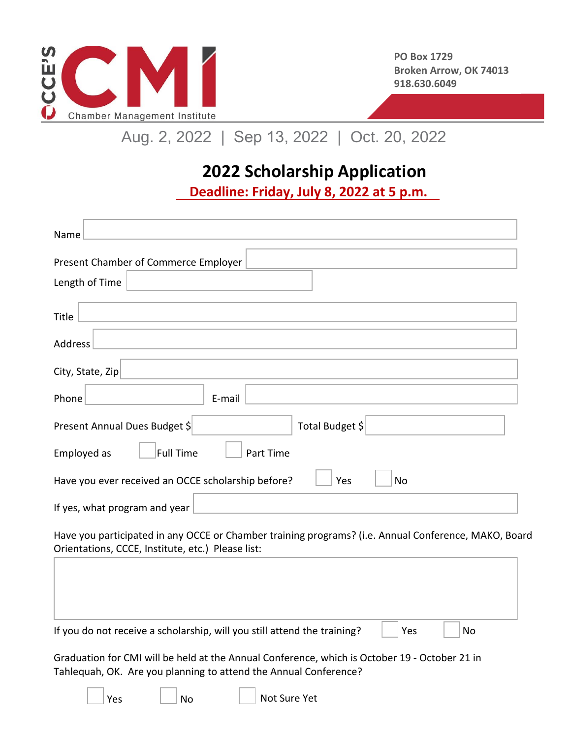

# Aug. 2, 2022 | Sep 13, 2022 | Oct. 20, 2022

## **2022 Scholarship Application**

**Deadline: Friday, July 8, 2022 at 5 p.m.**

| Name                                                            |
|-----------------------------------------------------------------|
| Present Chamber of Commerce Employer                            |
| Length of Time                                                  |
| Title                                                           |
| Address                                                         |
| City, State, Zip                                                |
| E-mail<br>Phone                                                 |
| Total Budget \$<br>Present Annual Dues Budget \$                |
| <b>Full Time</b><br>Employed as<br>Part Time                    |
| Have you ever received an OCCE scholarship before?<br>Yes<br>No |
| If yes, what program and year                                   |

Have you participated in any OCCE or Chamber training programs? (i.e. Annual Conference, MAKO, Board Orientations, CCCE, Institute, etc.) Please list:

| If you do not receive a scholarship, will you still attend the training? | Yes | No |  |
|--------------------------------------------------------------------------|-----|----|--|
|                                                                          |     |    |  |

Not Sure Yet

Graduation for CMI will be held at the Annual Conference, which is October 19 - October 21 in Tahlequah, OK. Are you planning to attend the Annual Conference?

Yes | No